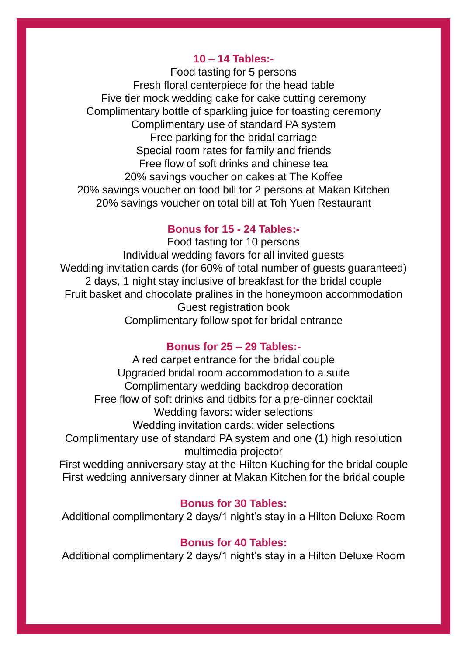# **10 – 14 Tables:-**

Food tasting for 5 persons Fresh floral centerpiece for the head table Five tier mock wedding cake for cake cutting ceremony Complimentary bottle of sparkling juice for toasting ceremony Complimentary use of standard PA system Free parking for the bridal carriage Special room rates for family and friends Free flow of soft drinks and chinese tea 20% savings voucher on cakes at The Koffee 20% savings voucher on food bill for 2 persons at Makan Kitchen 20% savings voucher on total bill at Toh Yuen Restaurant

# **Bonus for 15 - 24 Tables:-**

Food tasting for 10 persons Individual wedding favors for all invited guests Wedding invitation cards (for 60% of total number of guests guaranteed) 2 days, 1 night stay inclusive of breakfast for the bridal couple Fruit basket and chocolate pralines in the honeymoon accommodation Guest registration book Complimentary follow spot for bridal entrance

# **Bonus for 25 – 29 Tables:-**

A red carpet entrance for the bridal couple Upgraded bridal room accommodation to a suite Complimentary wedding backdrop decoration Free flow of soft drinks and tidbits for a pre-dinner cocktail Wedding favors: wider selections Wedding invitation cards: wider selections Complimentary use of standard PA system and one (1) high resolution multimedia projector

First wedding anniversary stay at the Hilton Kuching for the bridal couple First wedding anniversary dinner at Makan Kitchen for the bridal couple

# **Bonus for 30 Tables:**

Additional complimentary 2 days/1 night's stay in a Hilton Deluxe Room

# **Bonus for 40 Tables:**

Additional complimentary 2 days/1 night's stay in a Hilton Deluxe Room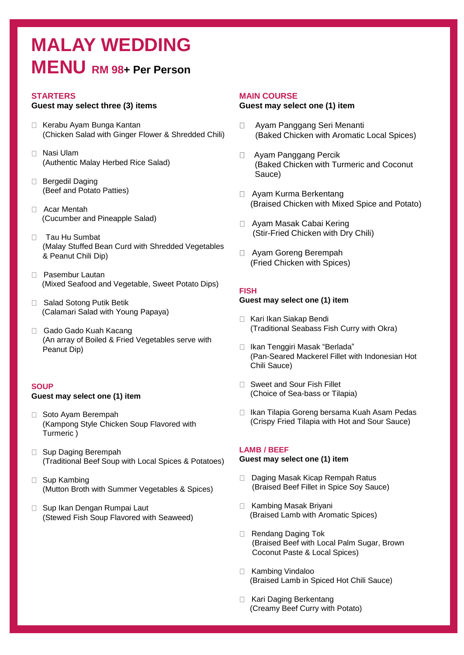# **MALAY WEDDING MENU RM 98+ Per Person**

## **STARTERS**

### **Guest may select three (3) items**

- □ Kerabu Ayam Bunga Kantan (Chicken Salad with Ginger Flower & Shredded Chili)
- Nasi Ulam (Authentic Malay Herbed Rice Salad)
- □ Bergedil Daging (Beef and Potato Patties)
- Acar Mentah (Cucumber and Pineapple Salad)
- □ Tau Hu Sumbat (Malay Stuffed Bean Curd with Shredded Vegetables & Peanut Chili Dip)
- □ Pasembur Lautan (Mixed Seafood and Vegetable, Sweet Potato Dips)
- □ Salad Sotong Putik Betik (Calamari Salad with Young Papaya)
- Gado Gado Kuah Kacang (An array of Boiled & Fried Vegetables serve with Peanut Dip)

## **SOUP**

#### **Guest may select one (1) item**

- □ Soto Ayam Berempah (Kampong Style Chicken Soup Flavored with Turmeric )
- □ Sup Daging Berempah (Traditional Beef Soup with Local Spices & Potatoes)
- □ Sup Kambing (Mutton Broth with Summer Vegetables & Spices)
- □ Sup Ikan Dengan Rumpai Laut (Stewed Fish Soup Flavored with Seaweed)

#### **MAIN COURSE**

#### **Guest may select one (1) item**

- $\Box$ Ayam Panggang Seri Menanti (Baked Chicken with Aromatic Local Spices)
- Ayam Panggang Percik (Baked Chicken with Turmeric and Coconut Sauce)
- □ Ayam Kurma Berkentang (Braised Chicken with Mixed Spice and Potato)
- □ Ayam Masak Cabai Kering (Stir-Fried Chicken with Dry Chili)
- Ayam Goreng Berempah (Fried Chicken with Spices)

### **FISH**

#### **Guest may select one (1) item**

- □ Kari Ikan Siakap Bendi (Traditional Seabass Fish Curry with Okra)
- □ Ikan Tenggiri Masak "Berlada" (Pan-Seared Mackerel Fillet with Indonesian Hot Chili Sauce)
- □ Sweet and Sour Fish Fillet (Choice of Sea-bass or Tilapia)
- □ Ikan Tilapia Goreng bersama Kuah Asam Pedas (Crispy Fried Tilapia with Hot and Sour Sauce)

#### **LAMB / BEEF**

#### **Guest may select one (1) item**

- □ Daging Masak Kicap Rempah Ratus (Braised Beef Fillet in Spice Soy Sauce)
- □ Kambing Masak Briyani (Braised Lamb with Aromatic Spices)
- □ Rendang Daging Tok (Braised Beef with Local Palm Sugar, Brown Coconut Paste & Local Spices)
- □ Kambing Vindaloo (Braised Lamb in Spiced Hot Chili Sauce)
- □ Kari Daging Berkentang (Creamy Beef Curry with Potato)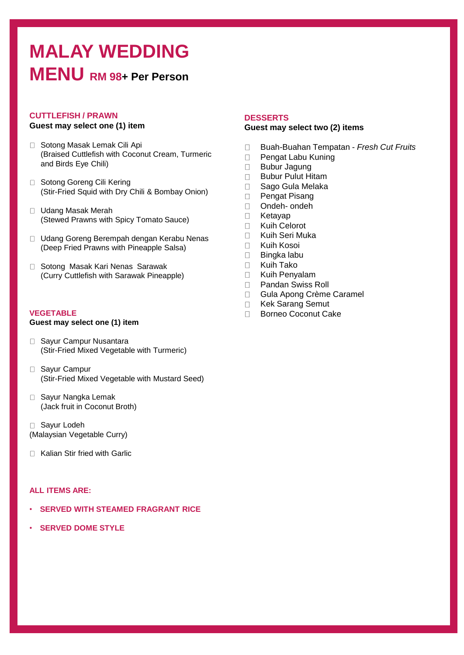# **MALAY WEDDING MENU RM 98+ Per Person**

# **CUTTLEFISH / PRAWN**

# **Guest may select one (1) item**

- □ Sotong Masak Lemak Cili Api (Braised Cuttlefish with Coconut Cream, Turmeric and Birds Eye Chili)
- □ Sotong Goreng Cili Kering (Stir-Fried Squid with Dry Chili & Bombay Onion)
- □ Udang Masak Merah (Stewed Prawns with Spicy Tomato Sauce)
- □ Udang Goreng Berempah dengan Kerabu Nenas (Deep Fried Prawns with Pineapple Salsa)
- □ Sotong Masak Kari Nenas Sarawak (Curry Cuttlefish with Sarawak Pineapple)

## **VEGETABLE**

## **Guest may select one (1) item**

- □ Sayur Campur Nusantara (Stir-Fried Mixed Vegetable with Turmeric)
- □ Sayur Campur (Stir-Fried Mixed Vegetable with Mustard Seed)
- □ Sayur Nangka Lemak (Jack fruit in Coconut Broth)
- □ Sayur Lodeh (Malaysian Vegetable Curry)
- □ Kalian Stir fried with Garlic

# **ALL ITEMS ARE:**

- **SERVED WITH STEAMED FRAGRANT RICE**
- **SERVED DOME STYLE**

## **DESSERTS**

#### **Guest may select two (2) items**

- Buah-Buahan Tempatan *Fresh Cut Fruits*  $\Box$
- $\Box$ Pengat Labu Kuning
- $\Box$ Bubur Jagung
- Bubur Pulut Hitam  $\Box$
- $\Box$ Sago Gula Melaka
- Pengat Pisang  $\Box$
- $\Box$ Ondeh- ondeh
- $\Box$ Ketayap
- $\Box$ Kuih Celorot
- $\Box$ Kuih Seri Muka
- Kuih Kosoi  $\Box$
- Bingka labu  $\Box$
- Kuih Tako  $\Box$
- $\Box$ Kuih Penyalam
- $\Box$ Pandan Swiss Roll
- $\Box$ Gula Apong Crème Caramel
- $\Box$ Kek Sarang Semut
- $\Box$ Borneo Coconut Cake